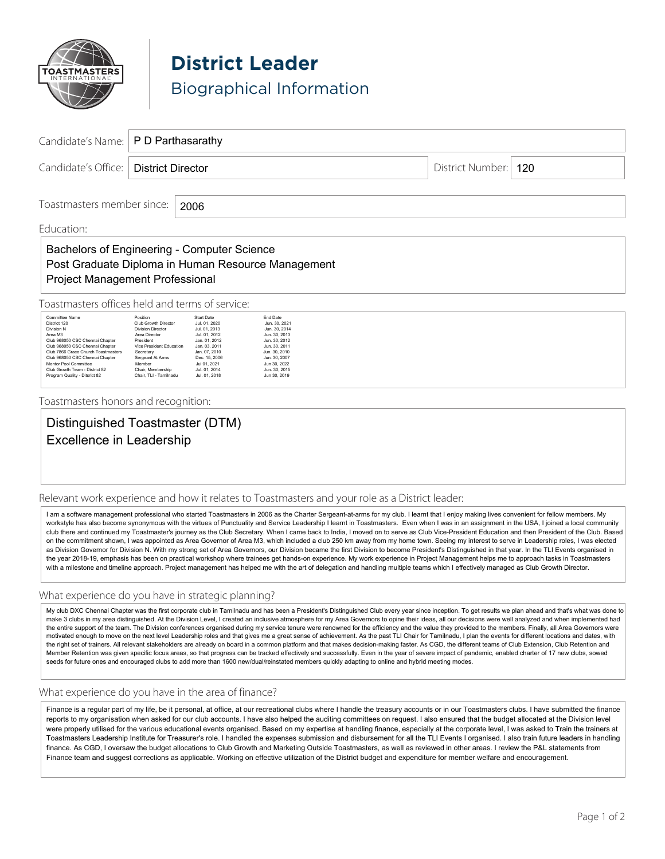

**District Leader** Biographical Information

|                                         | Candidate's Name:   P D Parthasarathy |                      |  |
|-----------------------------------------|---------------------------------------|----------------------|--|
| Candidate's Office:   District Director |                                       | District Number: 120 |  |
| Toastmasters member since:   2006       |                                       |                      |  |

#### Education: \_\_\_\_\_\_\_\_\_\_\_\_\_\_\_\_\_\_\_\_\_\_\_\_\_\_\_\_\_\_\_\_\_\_\_\_\_\_\_\_\_\_\_\_\_\_\_\_\_\_\_\_\_\_\_\_\_\_\_\_\_\_\_\_\_\_\_\_\_\_\_\_\_\_\_\_\_\_\_\_\_\_\_\_\_\_\_\_\_\_\_\_\_

# Bachelors of Engineering - Computer Science<br>
The contract of Engineering - Computer Science Project Management Professional and the state of the state of the state of the state of the state of the state of the state of the state of the state of the state of the state of the state of the state of the state of the Post Graduate Diploma in Human Resource Management

#### Toastmasters offices held and terms of service:

| Committee Name                      | Position                 | Start Date    | End Date      |
|-------------------------------------|--------------------------|---------------|---------------|
| District 120                        | Club Growth Director     | Jul. 01, 2020 | Jun. 30, 2021 |
| Division N                          | <b>Division Director</b> | Jul. 01. 2013 | Jun. 30, 2014 |
| Area M3                             | Area Director            | Jul. 01, 2012 | Jun. 30, 2013 |
| Club 968050 CSC Chennai Chapter     | President                | Jan. 01, 2012 | Jun. 30, 2012 |
| Club 968050 CSC Chennai Chapter     | Vice President Education | Jan. 03, 2011 | Jun. 30, 2011 |
| Club 7866 Grace Church Toastmasters | Secretary                | Jan. 07, 2010 | Jun. 30, 2010 |
| Club 968050 CSC Chennai Chapter     | Sergeant At Arms         | Dec. 15, 2006 | Jun. 30, 2007 |
| Mentor Pool Committee               | Member                   | Jul 01, 2021  | Jun 30, 2022  |
| Club Growth Team - District 82      | Chair, Membership        | Jul. 01. 2014 | Jun. 30, 2015 |
| Program Quality - Ditsrict 82       | Chair, TLI - Tamilnadu   | Jul. 01. 2018 | Jun 30, 2019  |

Toastmasters honors and recognition:

Distinguished Toastmaster (DTM) Excellence in Leadership

Relevant work experience and how it relates to Toastmasters and your role as a District leader:

I am a software management professional who started Toastmasters in 2006 as the Charter Sergeant-at-arms for my club. I learnt that I enjoy making lives convenient for fellow members. My workstyle has also become synonymous with the virtues of Punctuality and Service Leadership I learnt in Toastmasters. Even when I was in an assignment in the USA, I joined a local community club there and continued my Toastmaster's journey as the Club Secretary. When I came back to India, I moved on to serve as Club Vice-President Education and then President of the Club. Based on the commitment shown, I was appointed as Area Governor of Area M3, which included a club 250 km away from my home town. Seeing my interest to serve in Leadership roles, I was elected as Division Governor for Division N. With my strong set of Area Governors, our Division became the first Division to become President's Distinguished in that year. In the TLI Events organised in the year 2018-19, emphasis has been on practical workshop where trainees get hands-on experience. My work experience in Project Management helps me to approach tasks in Toastmasters with a milestone and timeline approach. Project management has helped me with the art of delegation and handling multiple teams which I effectively managed as Club Growth Director.

#### What experience do you have in strategic planning?

My club DXC Chennai Chapter was the first corporate club in Tamilnadu and has been a President's Distinguished Club every year since inception. To get results we plan ahead and that's what was done to make 3 clubs in my area distinguished. At the Division Level, I created an inclusive atmosphere for my Area Governors to opine their ideas, all our decisions were well analyzed and when implemented had the entire support of the team. The Division conferences organised during my service tenure were renowned for the efficiency and the value they provided to the members. Finally, all Area Governors were motivated enough to move on the next level Leadership roles and that gives me a great sense of achievement. As the past TLI Chair for Tamilnadu, I plan the events for different locations and dates, with the right set of trainers. All relevant stakeholders are already on board in a common platform and that makes decision-making faster. As CGD, the different teams of Club Extension, Club Retention and Member Retention was given specific focus areas, so that progress can be tracked effectively and successfully. Even in the year of severe impact of pandemic, enabled charter of 17 new clubs, sowed seeds for future ones and encouraged clubs to add more than 1600 new/dual/reinstated members quickly adapting to online and hybrid meeting modes.

## What experience do you have in the area of finance?

Finance is a regular part of my life, be it personal, at office, at our recreational clubs where I handle the treasury accounts or in our Toastmasters clubs. I have submitted the finance reports to my organisation when asked for our club accounts. I have also helped the auditing committees on request. I also ensured that the budget allocated at the Division level were properly utilised for the various educational events organised. Based on my expertise at handling finance, especially at the corporate level, I was asked to Train the trainers at Toastmasters Leadership Institute for Treasurer's role. I handled the expenses submission and disbursement for all the TLI Events I organised. I also train future leaders in handling finance. As CGD, I oversaw the budget allocations to Club Growth and Marketing Outside Toastmasters, as well as reviewed in other areas. I review the P&L statements from Finance team and suggest corrections as applicable. Working on effective utilization of the District budget and expenditure for member welfare and encouragement.